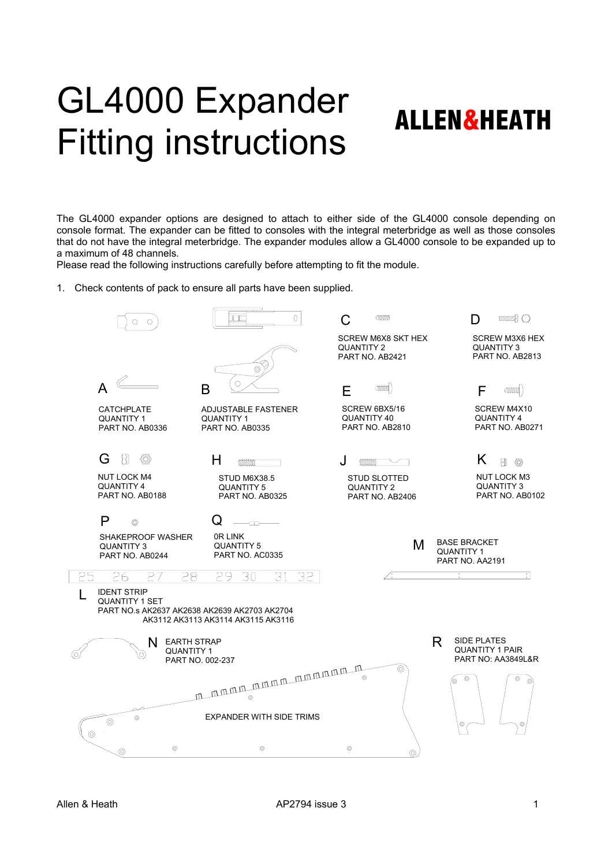## GL4000 Expander Fitting instructions ALLEN&HEATH

The GL4000 expander options are designed to attach to either side of the GL4000 console depending on console format. The expander can be fitted to consoles with the integral meterbridge as well as those consoles that do not have the integral meterbridge. The expander modules allow a GL4000 console to be expanded up to a maximum of 48 channels.

Please read the following instructions carefully before attempting to fit the module.

1. Check contents of pack to ensure all parts have been supplied.

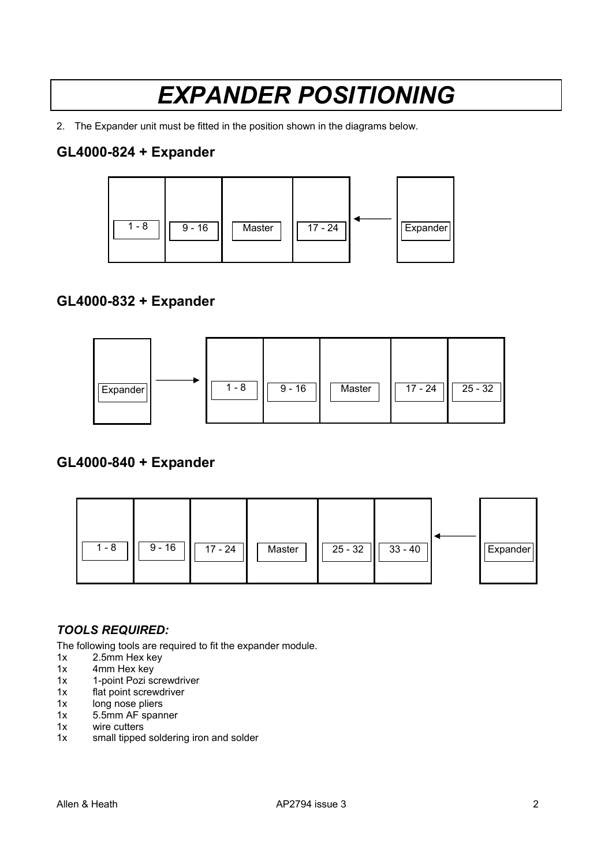## *EXPANDER POSITIONING*

2. The Expander unit must be fitted in the position shown in the diagrams below.

## **GL4000-824 + Expander**



### **GL4000-832 + Expander**



### **GL4000-840 + Expander**



#### *TOOLS REQUIRED:*

The following tools are required to fit the expander module.

- 1x 2.5mm Hex key
- 1x 4mm Hex key
- 1x 1-point Pozi screwdriver<br>1x flat point screwdriver
- flat point screwdriver
- 1x long nose pliers<br>1x 5.5mm AF span
- 1x 5.5mm AF spanner<br>1x wire cutters
- 1x wire cutters<br>1x small tipped
- small tipped soldering iron and solder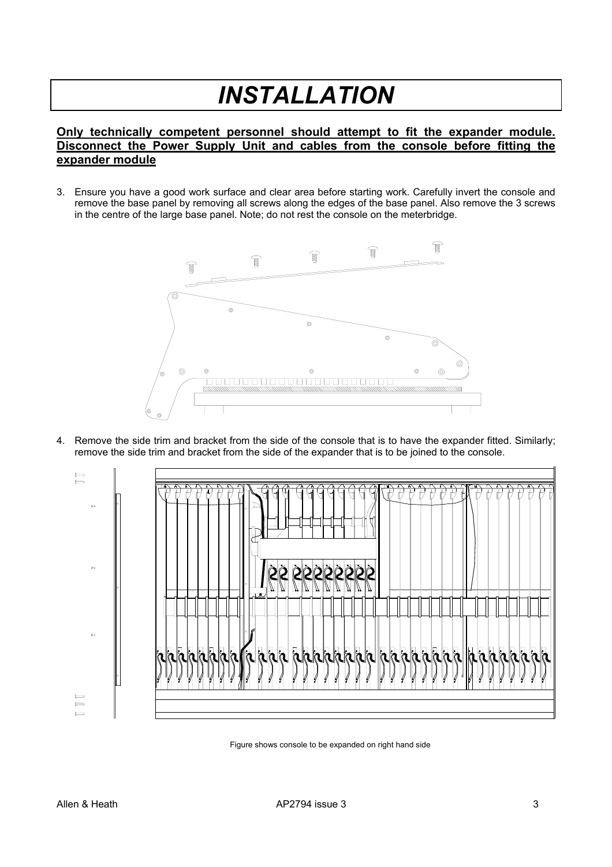# *INSTALLATION*

#### **Only technically competent personnel should attempt to fit the expander module. Disconnect the Power Supply Unit and cables from the console before fitting the expander module**

3. Ensure you have a good work surface and clear area before starting work. Carefully invert the console and remove the base panel by removing all screws along the edges of the base panel. Also remove the 3 screws in the centre of the large base panel. Note; do not rest the console on the meterbridge.



4. Remove the side trim and bracket from the side of the console that is to have the expander fitted. Similarly; remove the side trim and bracket from the side of the expander that is to be joined to the console.



Figure shows console to be expanded on right hand side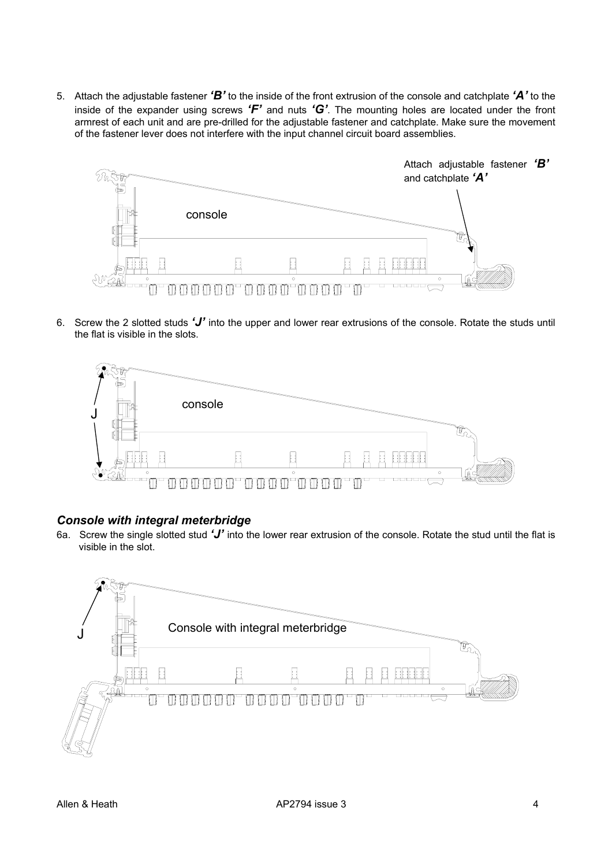5. Attach the adjustable fastener *'B'* to the inside of the front extrusion of the console and catchplate *'A'* to the inside of the expander using screws *'F'* and nuts *'G'*. The mounting holes are located under the front armrest of each unit and are pre-drilled for the adjustable fastener and catchplate. Make sure the movement of the fastener lever does not interfere with the input channel circuit board assemblies.



6. Screw the 2 slotted studs *'J'* into the upper and lower rear extrusions of the console. Rotate the studs until the flat is visible in the slots.



#### *Console with integral meterbridge*

6a. Screw the single slotted stud *'J'* into the lower rear extrusion of the console. Rotate the stud until the flat is visible in the slot.

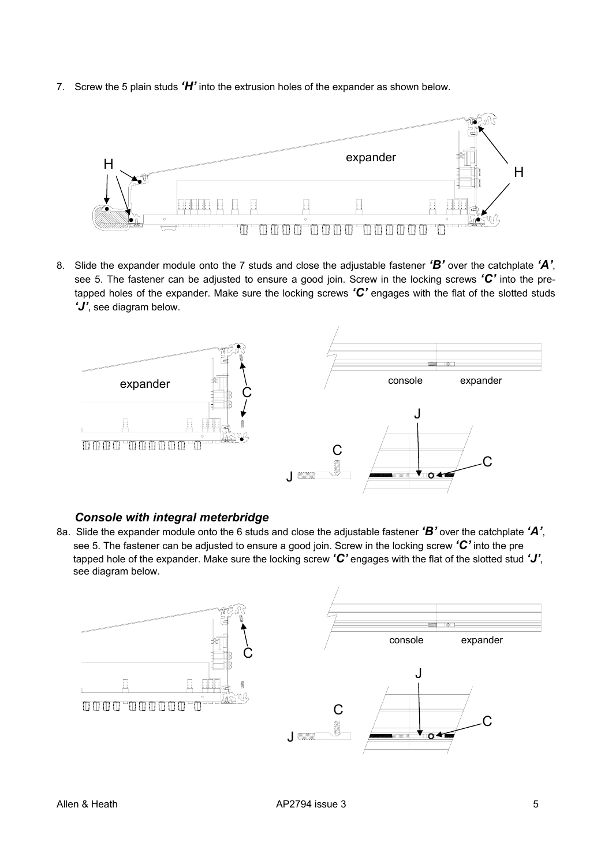7. Screw the 5 plain studs *'H'* into the extrusion holes of the expander as shown below.



8. Slide the expander module onto the 7 studs and close the adjustable fastener *'B'* over the catchplate *'A'*, see 5. The fastener can be adjusted to ensure a good join. Screw in the locking screws *'C'* into the pretapped holes of the expander. Make sure the locking screws *'C'* engages with the flat of the slotted studs *'J'*, see diagram below.



#### *Console with integral meterbridge*

8a. Slide the expander module onto the 6 studs and close the adjustable fastener *'B'* over the catchplate *'A'*, see 5. The fastener can be adjusted to ensure a good join. Screw in the locking screw *'C'* into the pre tapped hole of the expander. Make sure the locking screw *'C'* engages with the flat of the slotted stud *'J'*, see diagram below.

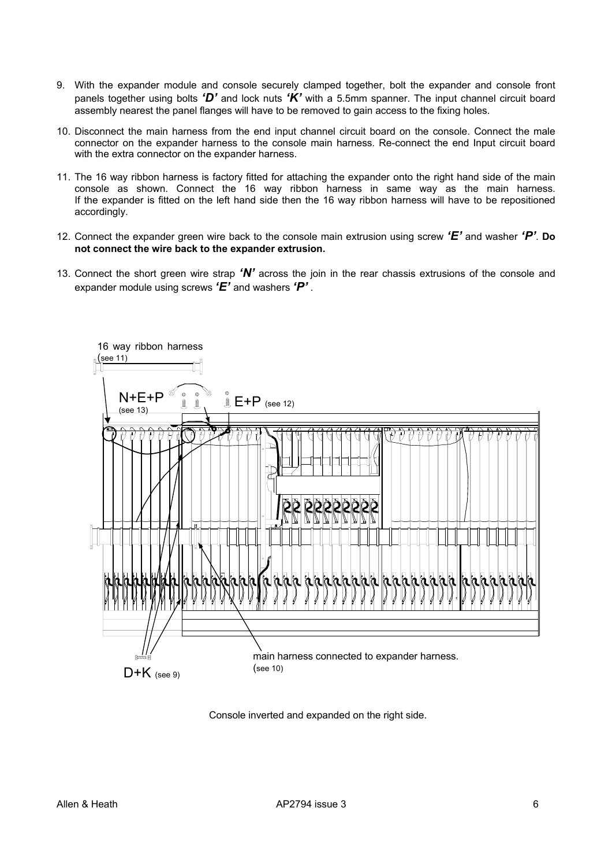- 9. With the expander module and console securely clamped together, bolt the expander and console front panels together using bolts *'D'* and lock nuts *'K'* with a 5.5mm spanner. The input channel circuit board assembly nearest the panel flanges will have to be removed to gain access to the fixing holes.
- 10. Disconnect the main harness from the end input channel circuit board on the console. Connect the male connector on the expander harness to the console main harness. Re-connect the end Input circuit board with the extra connector on the expander harness.
- 11. The 16 way ribbon harness is factory fitted for attaching the expander onto the right hand side of the main console as shown. Connect the 16 way ribbon harness in same way as the main harness. If the expander is fitted on the left hand side then the 16 way ribbon harness will have to be repositioned accordingly.
- 12. Connect the expander green wire back to the console main extrusion using screw *'E'* and washer *'P'*. **Do not connect the wire back to the expander extrusion.**
- 13. Connect the short green wire strap *'N'* across the join in the rear chassis extrusions of the console and expander module using screws *'E'* and washers *'P'* .



Console inverted and expanded on the right side.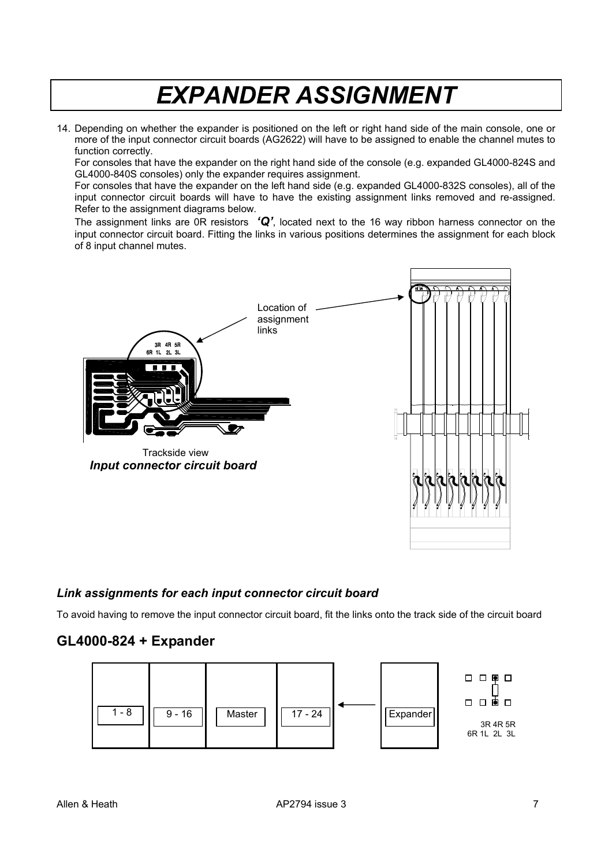## *EXPANDER ASSIGNMENT*

14. Depending on whether the expander is positioned on the left or right hand side of the main console, one or more of the input connector circuit boards (AG2622) will have to be assigned to enable the channel mutes to function correctly.

For consoles that have the expander on the right hand side of the console (e.g. expanded GL4000-824S and GL4000-840S consoles) only the expander requires assignment.

For consoles that have the expander on the left hand side (e.g. expanded GL4000-832S consoles), all of the input connector circuit boards will have to have the existing assignment links removed and re-assigned. Refer to the assignment diagrams below.

The assignment links are 0R resistors *'Q'*, located next to the 16 way ribbon harness connector on the input connector circuit board. Fitting the links in various positions determines the assignment for each block of 8 input channel mutes.



#### *Link assignments for each input connector circuit board*

To avoid having to remove the input connector circuit board, fit the links onto the track side of the circuit board

#### **GL4000-824 + Expander**

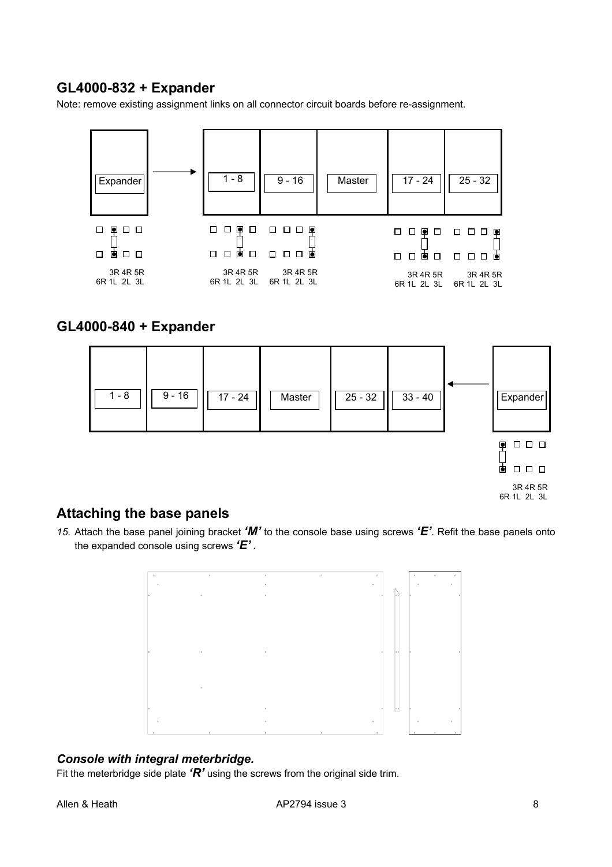### **GL4000-832 + Expander**

Note: remove existing assignment links on all connector circuit boards before re-assignment.

| Expander                | $1 - 8$                 | $9 - 16$                | Master | $17 - 24$               | $25 - 32$               |
|-------------------------|-------------------------|-------------------------|--------|-------------------------|-------------------------|
| ◙<br>$\Box$ $\Box$<br>□ | □<br>◙<br>ப<br>$\Box$   | ◙<br>⊔⊔<br>ப            |        | o<br>$\Box$<br>Ι.       | o<br>ப<br>П             |
| П<br>$\Box$ $\Box$<br>O | ₫<br>□<br>П<br>□        | 直<br>□                  |        | п<br>П<br>O<br>П        | 向<br>□<br>□<br>□        |
| 3R 4R 5R<br>6R 1L 2L 3L | 3R 4R 5R<br>6R 1L 2L 3L | 3R 4R 5R<br>6R 1L 2L 3L |        | 3R 4R 5R<br>6R 1L 2L 3L | 3R 4R 5R<br>6R 1L 2L 3L |

#### **GL4000-840 + Expander**



### **Attaching the base panels**

*15.* Attach the base panel joining bracket *'M'* to the console base using screws *'E'*. Refit the base panels onto the expanded console using screws *'E' .* 



#### *Console with integral meterbridge.*

Fit the meterbridge side plate *'R'* using the screws from the original side trim.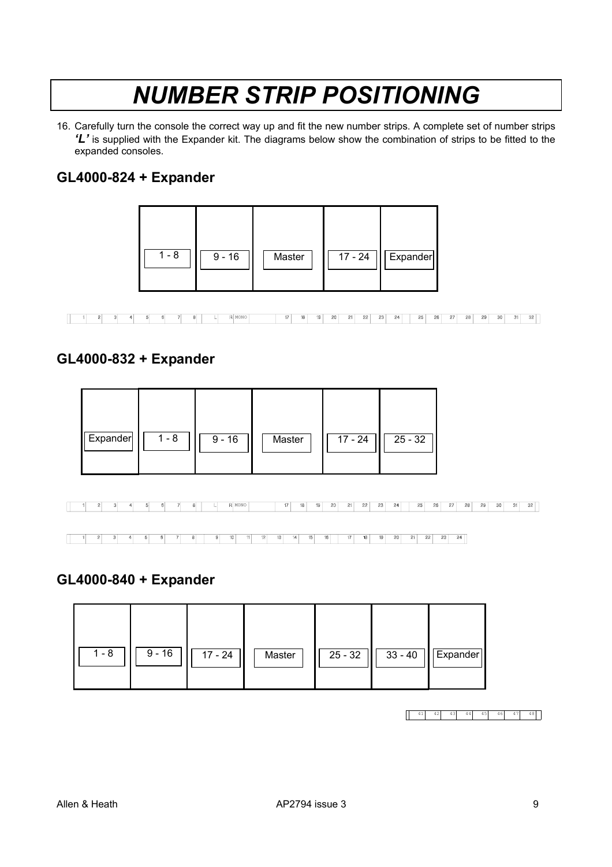## *NUMBER STRIP POSITIONING*

16. Carefully turn the console the correct way up and fit the new number strips. A complete set of number strips *'L'* is supplied with the Expander kit. The diagrams below show the combination of strips to be fitted to the expanded consoles.

### **GL4000-824 + Expander**



| - |  |  |  | . | 17 | $-$<br>18. | 20. | $-1$ | 22 | 23 | 64<br>- | -231 | zo. | 27 | 2R. | 29. | -30 | 31 |  |
|---|--|--|--|---|----|------------|-----|------|----|----|---------|------|-----|----|-----|-----|-----|----|--|

### **GL4000-832 + Expander**

| Expander<br>1 - 8 | $9 - 16$ | Master | 17 - 24 | $25 - 32$ |
|-------------------|----------|--------|---------|-----------|
|-------------------|----------|--------|---------|-----------|

1 2 3 4 5 6 7 8 1 R MONO 17 18 19 20 21 22 23 24 25 26 27 28 29 30 31 32

#### **GL4000-840 + Expander**

| $1 - 8$ | $9 - 16$ | $17 - 24$ | Master | $25 - 32$ |  | $33 - 40$   Expander |
|---------|----------|-----------|--------|-----------|--|----------------------|
|---------|----------|-----------|--------|-----------|--|----------------------|

 $\begin{array}{|c|c|c|c|c|c|c|c|c|} \hline \quad & 41 & 42 & 43 & 44 & 45 & 46 & 47 & 48 \\\hline \end{array}$